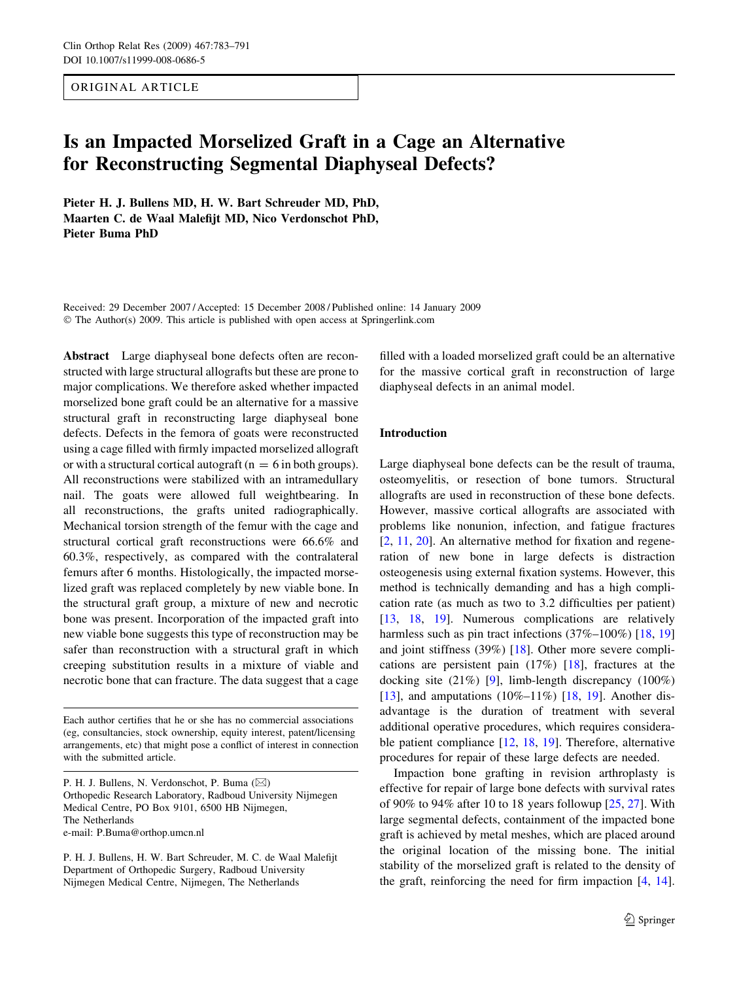ORIGINAL ARTICLE

# Is an Impacted Morselized Graft in a Cage an Alternative for Reconstructing Segmental Diaphyseal Defects?

Pieter H. J. Bullens MD, H. W. Bart Schreuder MD, PhD, Maarten C. de Waal Malefijt MD, Nico Verdonschot PhD, Pieter Buma PhD

Received: 29 December 2007 / Accepted: 15 December 2008 / Published online: 14 January 2009 The Author(s) 2009. This article is published with open access at Springerlink.com

Abstract Large diaphyseal bone defects often are reconstructed with large structural allografts but these are prone to major complications. We therefore asked whether impacted morselized bone graft could be an alternative for a massive structural graft in reconstructing large diaphyseal bone defects. Defects in the femora of goats were reconstructed using a cage filled with firmly impacted morselized allograft or with a structural cortical autograft ( $n = 6$  in both groups). All reconstructions were stabilized with an intramedullary nail. The goats were allowed full weightbearing. In all reconstructions, the grafts united radiographically. Mechanical torsion strength of the femur with the cage and structural cortical graft reconstructions were 66.6% and 60.3%, respectively, as compared with the contralateral femurs after 6 months. Histologically, the impacted morselized graft was replaced completely by new viable bone. In the structural graft group, a mixture of new and necrotic bone was present. Incorporation of the impacted graft into new viable bone suggests this type of reconstruction may be safer than reconstruction with a structural graft in which creeping substitution results in a mixture of viable and necrotic bone that can fracture. The data suggest that a cage

Each author certifies that he or she has no commercial associations (eg, consultancies, stock ownership, equity interest, patent/licensing arrangements, etc) that might pose a conflict of interest in connection with the submitted article.

P. H. J. Bullens, N. Verdonschot, P. Buma (⊠) Orthopedic Research Laboratory, Radboud University Nijmegen Medical Centre, PO Box 9101, 6500 HB Nijmegen, The Netherlands e-mail: P.Buma@orthop.umcn.nl

P. H. J. Bullens, H. W. Bart Schreuder, M. C. de Waal Malefijt Department of Orthopedic Surgery, Radboud University Nijmegen Medical Centre, Nijmegen, The Netherlands

filled with a loaded morselized graft could be an alternative for the massive cortical graft in reconstruction of large diaphyseal defects in an animal model.

# Introduction

Large diaphyseal bone defects can be the result of trauma, osteomyelitis, or resection of bone tumors. Structural allografts are used in reconstruction of these bone defects. However, massive cortical allografts are associated with problems like nonunion, infection, and fatigue fractures [\[2](#page-7-0), [11](#page-8-0), [20\]](#page-8-0). An alternative method for fixation and regeneration of new bone in large defects is distraction osteogenesis using external fixation systems. However, this method is technically demanding and has a high complication rate (as much as two to 3.2 difficulties per patient) [\[13](#page-8-0), [18,](#page-8-0) [19\]](#page-8-0). Numerous complications are relatively harmless such as pin tract infections (37%–100%) [[18,](#page-8-0) [19\]](#page-8-0) and joint stiffness (39%) [\[18](#page-8-0)]. Other more severe complications are persistent pain (17%) [[18\]](#page-8-0), fractures at the docking site (21%) [[9\]](#page-8-0), limb-length discrepancy (100%) [\[13](#page-8-0)], and amputations  $(10\%-11\%)$  [\[18](#page-8-0), [19\]](#page-8-0). Another disadvantage is the duration of treatment with several additional operative procedures, which requires considerable patient compliance [[12,](#page-8-0) [18](#page-8-0), [19](#page-8-0)]. Therefore, alternative procedures for repair of these large defects are needed.

Impaction bone grafting in revision arthroplasty is effective for repair of large bone defects with survival rates of 90% to 94% after 10 to 18 years followup [[25,](#page-8-0) [27\]](#page-8-0). With large segmental defects, containment of the impacted bone graft is achieved by metal meshes, which are placed around the original location of the missing bone. The initial stability of the morselized graft is related to the density of the graft, reinforcing the need for firm impaction [\[4](#page-7-0), [14](#page-8-0)].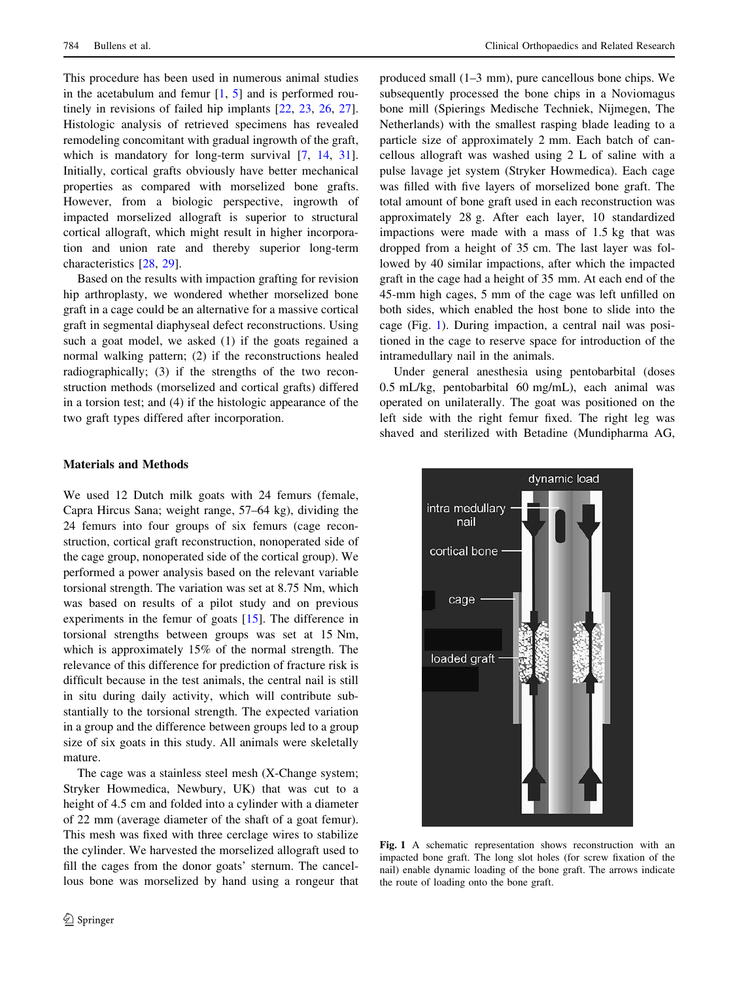<span id="page-1-0"></span>This procedure has been used in numerous animal studies in the acetabulum and femur  $[1, 5]$  $[1, 5]$  $[1, 5]$  $[1, 5]$  and is performed routinely in revisions of failed hip implants [[22,](#page-8-0) [23](#page-8-0), [26](#page-8-0), [27](#page-8-0)]. Histologic analysis of retrieved specimens has revealed remodeling concomitant with gradual ingrowth of the graft, which is mandatory for long-term survival [[7,](#page-7-0) [14,](#page-8-0) [31](#page-8-0)]. Initially, cortical grafts obviously have better mechanical properties as compared with morselized bone grafts. However, from a biologic perspective, ingrowth of impacted morselized allograft is superior to structural cortical allograft, which might result in higher incorporation and union rate and thereby superior long-term characteristics [\[28](#page-8-0), [29\]](#page-8-0).

Based on the results with impaction grafting for revision hip arthroplasty, we wondered whether morselized bone graft in a cage could be an alternative for a massive cortical graft in segmental diaphyseal defect reconstructions. Using such a goat model, we asked (1) if the goats regained a normal walking pattern; (2) if the reconstructions healed radiographically; (3) if the strengths of the two reconstruction methods (morselized and cortical grafts) differed in a torsion test; and (4) if the histologic appearance of the two graft types differed after incorporation.

### Materials and Methods

We used 12 Dutch milk goats with 24 femurs (female, Capra Hircus Sana; weight range, 57–64 kg), dividing the 24 femurs into four groups of six femurs (cage reconstruction, cortical graft reconstruction, nonoperated side of the cage group, nonoperated side of the cortical group). We performed a power analysis based on the relevant variable torsional strength. The variation was set at 8.75 Nm, which was based on results of a pilot study and on previous experiments in the femur of goats [\[15](#page-8-0)]. The difference in torsional strengths between groups was set at 15 Nm, which is approximately 15% of the normal strength. The relevance of this difference for prediction of fracture risk is difficult because in the test animals, the central nail is still in situ during daily activity, which will contribute substantially to the torsional strength. The expected variation in a group and the difference between groups led to a group size of six goats in this study. All animals were skeletally mature.

The cage was a stainless steel mesh (X-Change system; Stryker Howmedica, Newbury, UK) that was cut to a height of 4.5 cm and folded into a cylinder with a diameter of 22 mm (average diameter of the shaft of a goat femur). This mesh was fixed with three cerclage wires to stabilize the cylinder. We harvested the morselized allograft used to fill the cages from the donor goats' sternum. The cancellous bone was morselized by hand using a rongeur that produced small (1–3 mm), pure cancellous bone chips. We subsequently processed the bone chips in a Noviomagus bone mill (Spierings Medische Techniek, Nijmegen, The Netherlands) with the smallest rasping blade leading to a particle size of approximately 2 mm. Each batch of cancellous allograft was washed using 2 L of saline with a pulse lavage jet system (Stryker Howmedica). Each cage was filled with five layers of morselized bone graft. The total amount of bone graft used in each reconstruction was approximately 28 g. After each layer, 10 standardized impactions were made with a mass of 1.5 kg that was dropped from a height of 35 cm. The last layer was followed by 40 similar impactions, after which the impacted graft in the cage had a height of 35 mm. At each end of the 45-mm high cages, 5 mm of the cage was left unfilled on both sides, which enabled the host bone to slide into the cage (Fig. 1). During impaction, a central nail was positioned in the cage to reserve space for introduction of the intramedullary nail in the animals.

Under general anesthesia using pentobarbital (doses 0.5 mL/kg, pentobarbital 60 mg/mL), each animal was operated on unilaterally. The goat was positioned on the left side with the right femur fixed. The right leg was shaved and sterilized with Betadine (Mundipharma AG,



Fig. 1 A schematic representation shows reconstruction with an impacted bone graft. The long slot holes (for screw fixation of the nail) enable dynamic loading of the bone graft. The arrows indicate the route of loading onto the bone graft.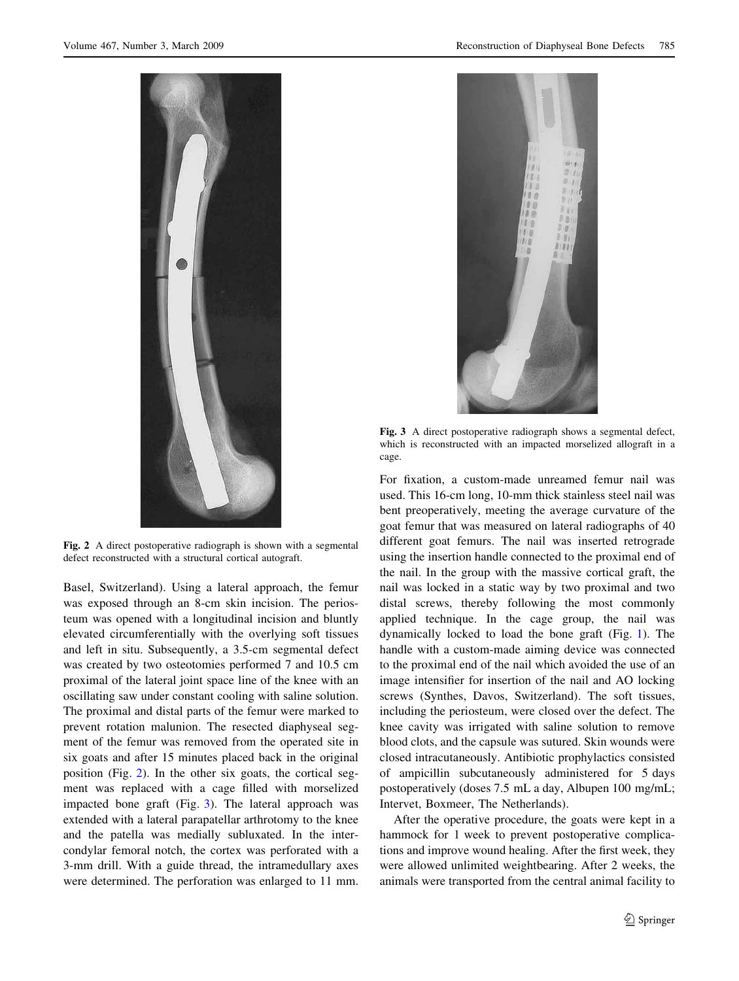

Fig. 2 A direct postoperative radiograph is shown with a segmental defect reconstructed with a structural cortical autograft.

Basel, Switzerland). Using a lateral approach, the femur was exposed through an 8-cm skin incision. The periosteum was opened with a longitudinal incision and bluntly elevated circumferentially with the overlying soft tissues and left in situ. Subsequently, a 3.5-cm segmental defect was created by two osteotomies performed 7 and 10.5 cm proximal of the lateral joint space line of the knee with an oscillating saw under constant cooling with saline solution. The proximal and distal parts of the femur were marked to prevent rotation malunion. The resected diaphyseal segment of the femur was removed from the operated site in six goats and after 15 minutes placed back in the original position (Fig. 2). In the other six goats, the cortical segment was replaced with a cage filled with morselized impacted bone graft (Fig. 3). The lateral approach was extended with a lateral parapatellar arthrotomy to the knee and the patella was medially subluxated. In the intercondylar femoral notch, the cortex was perforated with a 3-mm drill. With a guide thread, the intramedullary axes were determined. The perforation was enlarged to 11 mm.



Fig. 3 A direct postoperative radiograph shows a segmental defect, which is reconstructed with an impacted morselized allograft in a cage.

For fixation, a custom-made unreamed femur nail was used. This 16-cm long, 10-mm thick stainless steel nail was bent preoperatively, meeting the average curvature of the goat femur that was measured on lateral radiographs of 40 different goat femurs. The nail was inserted retrograde using the insertion handle connected to the proximal end of the nail. In the group with the massive cortical graft, the nail was locked in a static way by two proximal and two distal screws, thereby following the most commonly applied technique. In the cage group, the nail was dynamically locked to load the bone graft (Fig. [1](#page-1-0)). The handle with a custom-made aiming device was connected to the proximal end of the nail which avoided the use of an image intensifier for insertion of the nail and AO locking screws (Synthes, Davos, Switzerland). The soft tissues, including the periosteum, were closed over the defect. The knee cavity was irrigated with saline solution to remove blood clots, and the capsule was sutured. Skin wounds were closed intracutaneously. Antibiotic prophylactics consisted of ampicillin subcutaneously administered for 5 days postoperatively (doses 7.5 mL a day, Albupen 100 mg/mL; Intervet, Boxmeer, The Netherlands).

After the operative procedure, the goats were kept in a hammock for 1 week to prevent postoperative complications and improve wound healing. After the first week, they were allowed unlimited weightbearing. After 2 weeks, the animals were transported from the central animal facility to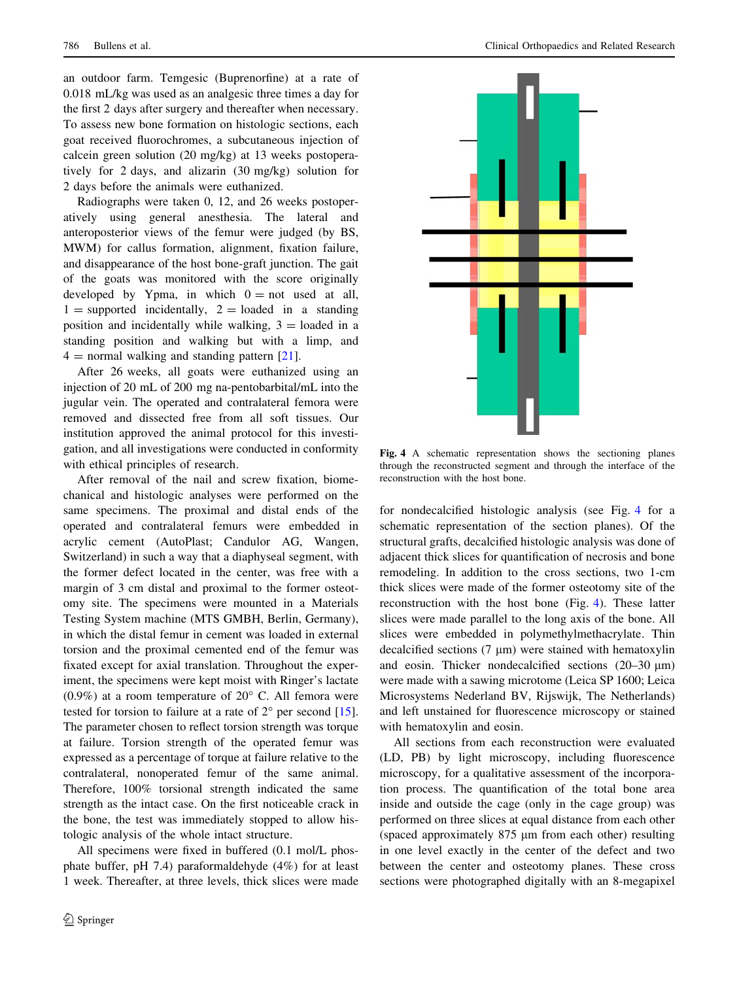an outdoor farm. Temgesic (Buprenorfine) at a rate of 0.018 mL/kg was used as an analgesic three times a day for the first 2 days after surgery and thereafter when necessary. To assess new bone formation on histologic sections, each goat received fluorochromes, a subcutaneous injection of calcein green solution (20 mg/kg) at 13 weeks postoperatively for 2 days, and alizarin (30 mg/kg) solution for 2 days before the animals were euthanized.

Radiographs were taken 0, 12, and 26 weeks postoperatively using general anesthesia. The lateral and anteroposterior views of the femur were judged (by BS, MWM) for callus formation, alignment, fixation failure, and disappearance of the host bone-graft junction. The gait of the goats was monitored with the score originally developed by Ypma, in which  $0 = not$  used at all,  $1 =$  supported incidentally,  $2 =$  loaded in a standing position and incidentally while walking,  $3 =$  loaded in a standing position and walking but with a limp, and  $4 =$  normal walking and standing pattern [\[21](#page-8-0)].

After 26 weeks, all goats were euthanized using an injection of 20 mL of 200 mg na-pentobarbital/mL into the jugular vein. The operated and contralateral femora were removed and dissected free from all soft tissues. Our institution approved the animal protocol for this investigation, and all investigations were conducted in conformity with ethical principles of research.

After removal of the nail and screw fixation, biomechanical and histologic analyses were performed on the same specimens. The proximal and distal ends of the operated and contralateral femurs were embedded in acrylic cement (AutoPlast; Candulor AG, Wangen, Switzerland) in such a way that a diaphyseal segment, with the former defect located in the center, was free with a margin of 3 cm distal and proximal to the former osteotomy site. The specimens were mounted in a Materials Testing System machine (MTS GMBH, Berlin, Germany), in which the distal femur in cement was loaded in external torsion and the proximal cemented end of the femur was fixated except for axial translation. Throughout the experiment, the specimens were kept moist with Ringer's lactate  $(0.9\%)$  at a room temperature of  $20^{\circ}$  C. All femora were tested for torsion to failure at a rate of  $2^{\circ}$  per second [\[15](#page-8-0)]. The parameter chosen to reflect torsion strength was torque at failure. Torsion strength of the operated femur was expressed as a percentage of torque at failure relative to the contralateral, nonoperated femur of the same animal. Therefore, 100% torsional strength indicated the same strength as the intact case. On the first noticeable crack in the bone, the test was immediately stopped to allow histologic analysis of the whole intact structure.

All specimens were fixed in buffered (0.1 mol/L phosphate buffer, pH 7.4) paraformaldehyde (4%) for at least 1 week. Thereafter, at three levels, thick slices were made



Fig. 4 A schematic representation shows the sectioning planes through the reconstructed segment and through the interface of the reconstruction with the host bone.

for nondecalcified histologic analysis (see Fig. 4 for a schematic representation of the section planes). Of the structural grafts, decalcified histologic analysis was done of adjacent thick slices for quantification of necrosis and bone remodeling. In addition to the cross sections, two 1-cm thick slices were made of the former osteotomy site of the reconstruction with the host bone (Fig. 4). These latter slices were made parallel to the long axis of the bone. All slices were embedded in polymethylmethacrylate. Thin decalcified sections  $(7 \mu m)$  were stained with hematoxylin and eosin. Thicker nondecalcified sections  $(20-30 \mu m)$ were made with a sawing microtome (Leica SP 1600; Leica Microsystems Nederland BV, Rijswijk, The Netherlands) and left unstained for fluorescence microscopy or stained with hematoxylin and eosin.

All sections from each reconstruction were evaluated (LD, PB) by light microscopy, including fluorescence microscopy, for a qualitative assessment of the incorporation process. The quantification of the total bone area inside and outside the cage (only in the cage group) was performed on three slices at equal distance from each other (spaced approximately  $875 \mu m$  from each other) resulting in one level exactly in the center of the defect and two between the center and osteotomy planes. These cross sections were photographed digitally with an 8-megapixel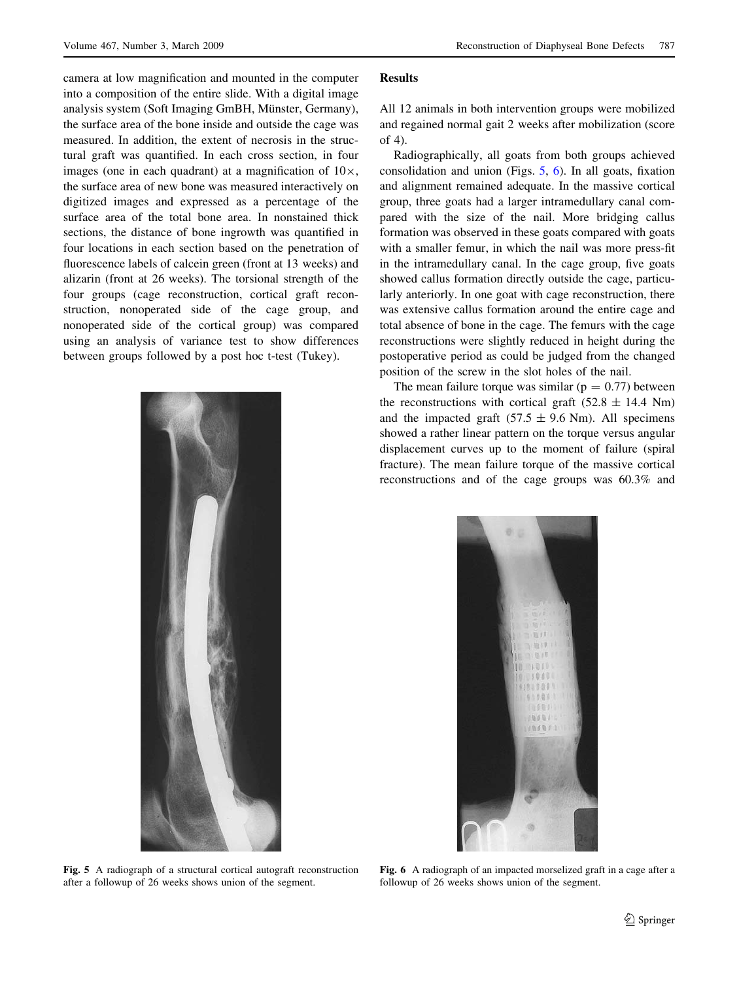camera at low magnification and mounted in the computer into a composition of the entire slide. With a digital image analysis system (Soft Imaging GmBH, Münster, Germany), the surface area of the bone inside and outside the cage was measured. In addition, the extent of necrosis in the structural graft was quantified. In each cross section, in four images (one in each quadrant) at a magnification of  $10\times$ , the surface area of new bone was measured interactively on digitized images and expressed as a percentage of the surface area of the total bone area. In nonstained thick sections, the distance of bone ingrowth was quantified in four locations in each section based on the penetration of fluorescence labels of calcein green (front at 13 weeks) and alizarin (front at 26 weeks). The torsional strength of the four groups (cage reconstruction, cortical graft reconstruction, nonoperated side of the cage group, and nonoperated side of the cortical group) was compared using an analysis of variance test to show differences between groups followed by a post hoc t-test (Tukey).



Fig. 5 A radiograph of a structural cortical autograft reconstruction after a followup of 26 weeks shows union of the segment.

#### Results

All 12 animals in both intervention groups were mobilized and regained normal gait 2 weeks after mobilization (score of 4).

Radiographically, all goats from both groups achieved consolidation and union (Figs. 5, 6). In all goats, fixation and alignment remained adequate. In the massive cortical group, three goats had a larger intramedullary canal compared with the size of the nail. More bridging callus formation was observed in these goats compared with goats with a smaller femur, in which the nail was more press-fit in the intramedullary canal. In the cage group, five goats showed callus formation directly outside the cage, particularly anteriorly. In one goat with cage reconstruction, there was extensive callus formation around the entire cage and total absence of bone in the cage. The femurs with the cage reconstructions were slightly reduced in height during the postoperative period as could be judged from the changed position of the screw in the slot holes of the nail.

The mean failure torque was similar ( $p = 0.77$ ) between the reconstructions with cortical graft  $(52.8 \pm 14.4 \text{ Nm})$ and the impacted graft  $(57.5 \pm 9.6 \text{ Nm})$ . All specimens showed a rather linear pattern on the torque versus angular displacement curves up to the moment of failure (spiral fracture). The mean failure torque of the massive cortical reconstructions and of the cage groups was 60.3% and



Fig. 6 A radiograph of an impacted morselized graft in a cage after a followup of 26 weeks shows union of the segment.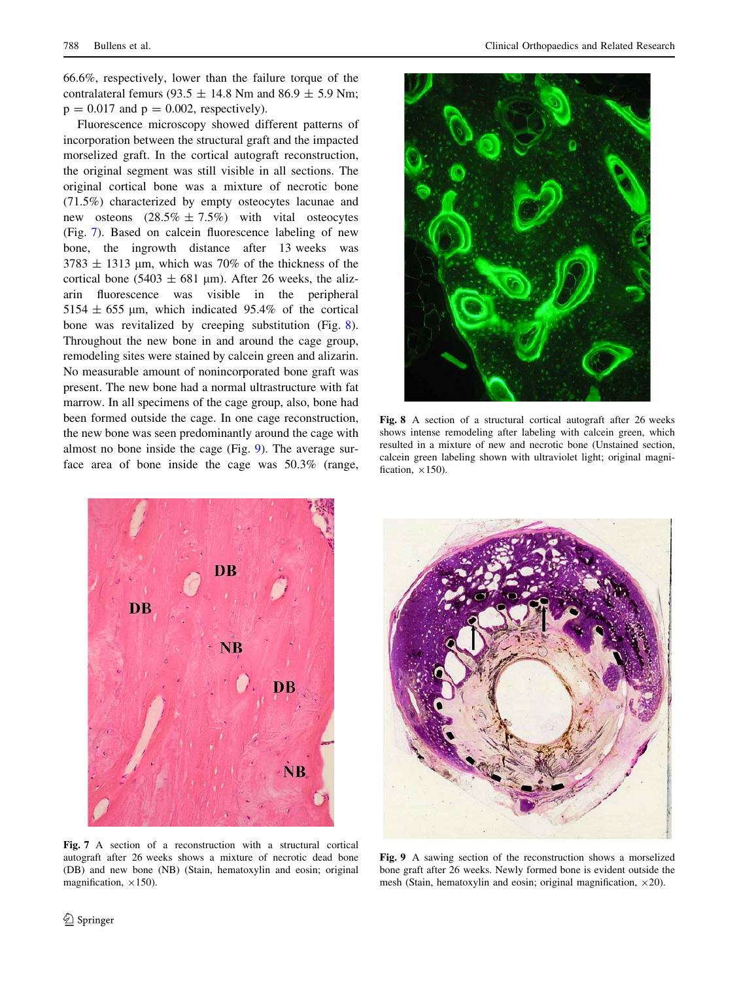66.6%, respectively, lower than the failure torque of the contralateral femurs (93.5  $\pm$  14.8 Nm and 86.9  $\pm$  5.9 Nm;  $p = 0.017$  and  $p = 0.002$ , respectively).

Fluorescence microscopy showed different patterns of incorporation between the structural graft and the impacted morselized graft. In the cortical autograft reconstruction, the original segment was still visible in all sections. The original cortical bone was a mixture of necrotic bone (71.5%) characterized by empty osteocytes lacunae and new osteons  $(28.5\% \pm 7.5\%)$  with vital osteocytes (Fig. 7). Based on calcein fluorescence labeling of new bone, the ingrowth distance after 13 weeks was  $3783 \pm 1313$  µm, which was 70% of the thickness of the cortical bone (5403  $\pm$  681 µm). After 26 weeks, the alizarin fluorescence was visible in the peripheral 5154  $\pm$  655 µm, which indicated 95.4% of the cortical bone was revitalized by creeping substitution (Fig. 8). Throughout the new bone in and around the cage group, remodeling sites were stained by calcein green and alizarin. No measurable amount of nonincorporated bone graft was present. The new bone had a normal ultrastructure with fat marrow. In all specimens of the cage group, also, bone had been formed outside the cage. In one cage reconstruction, the new bone was seen predominantly around the cage with almost no bone inside the cage (Fig. 9). The average surface area of bone inside the cage was 50.3% (range,



Fig. 8 A section of a structural cortical autograft after 26 weeks shows intense remodeling after labeling with calcein green, which resulted in a mixture of new and necrotic bone (Unstained section, calcein green labeling shown with ultraviolet light; original magnification,  $\times 150$ ).



Fig. 7 A section of a reconstruction with a structural cortical autograft after 26 weeks shows a mixture of necrotic dead bone (DB) and new bone (NB) (Stain, hematoxylin and eosin; original magnification,  $\times$ 150).



Fig. 9 A sawing section of the reconstruction shows a morselized bone graft after 26 weeks. Newly formed bone is evident outside the mesh (Stain, hematoxylin and eosin; original magnification,  $\times$ 20).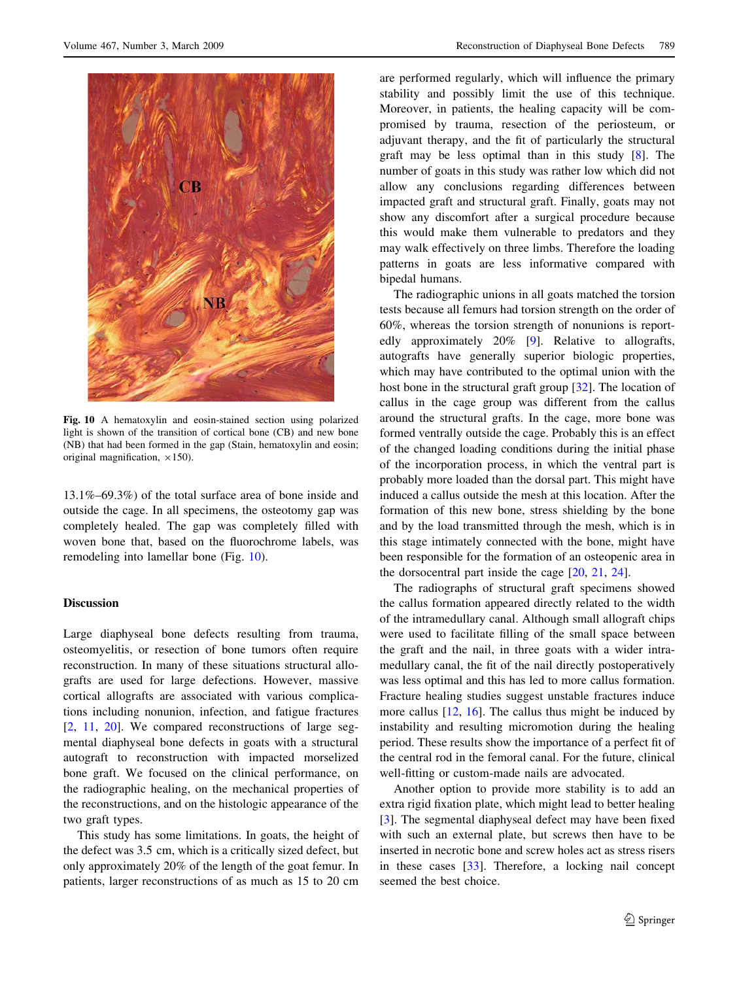

Fig. 10 A hematoxylin and eosin-stained section using polarized light is shown of the transition of cortical bone (CB) and new bone (NB) that had been formed in the gap (Stain, hematoxylin and eosin; original magnification,  $\times$ 150).

13.1%–69.3%) of the total surface area of bone inside and outside the cage. In all specimens, the osteotomy gap was completely healed. The gap was completely filled with woven bone that, based on the fluorochrome labels, was remodeling into lamellar bone (Fig. 10).

# Discussion

Large diaphyseal bone defects resulting from trauma, osteomyelitis, or resection of bone tumors often require reconstruction. In many of these situations structural allografts are used for large defections. However, massive cortical allografts are associated with various complications including nonunion, infection, and fatigue fractures [\[2](#page-7-0), [11,](#page-8-0) [20](#page-8-0)]. We compared reconstructions of large segmental diaphyseal bone defects in goats with a structural autograft to reconstruction with impacted morselized bone graft. We focused on the clinical performance, on the radiographic healing, on the mechanical properties of the reconstructions, and on the histologic appearance of the two graft types.

This study has some limitations. In goats, the height of the defect was 3.5 cm, which is a critically sized defect, but only approximately 20% of the length of the goat femur. In patients, larger reconstructions of as much as 15 to 20 cm are performed regularly, which will influence the primary stability and possibly limit the use of this technique. Moreover, in patients, the healing capacity will be compromised by trauma, resection of the periosteum, or adjuvant therapy, and the fit of particularly the structural graft may be less optimal than in this study [\[8](#page-7-0)]. The number of goats in this study was rather low which did not allow any conclusions regarding differences between impacted graft and structural graft. Finally, goats may not show any discomfort after a surgical procedure because this would make them vulnerable to predators and they may walk effectively on three limbs. Therefore the loading patterns in goats are less informative compared with bipedal humans.

The radiographic unions in all goats matched the torsion tests because all femurs had torsion strength on the order of 60%, whereas the torsion strength of nonunions is reportedly approximately 20% [\[9](#page-8-0)]. Relative to allografts, autografts have generally superior biologic properties, which may have contributed to the optimal union with the host bone in the structural graft group [\[32](#page-8-0)]. The location of callus in the cage group was different from the callus around the structural grafts. In the cage, more bone was formed ventrally outside the cage. Probably this is an effect of the changed loading conditions during the initial phase of the incorporation process, in which the ventral part is probably more loaded than the dorsal part. This might have induced a callus outside the mesh at this location. After the formation of this new bone, stress shielding by the bone and by the load transmitted through the mesh, which is in this stage intimately connected with the bone, might have been responsible for the formation of an osteopenic area in the dorsocentral part inside the cage  $[20, 21, 24]$  $[20, 21, 24]$  $[20, 21, 24]$  $[20, 21, 24]$  $[20, 21, 24]$ .

The radiographs of structural graft specimens showed the callus formation appeared directly related to the width of the intramedullary canal. Although small allograft chips were used to facilitate filling of the small space between the graft and the nail, in three goats with a wider intramedullary canal, the fit of the nail directly postoperatively was less optimal and this has led to more callus formation. Fracture healing studies suggest unstable fractures induce more callus  $[12, 16]$  $[12, 16]$  $[12, 16]$  $[12, 16]$ . The callus thus might be induced by instability and resulting micromotion during the healing period. These results show the importance of a perfect fit of the central rod in the femoral canal. For the future, clinical well-fitting or custom-made nails are advocated.

Another option to provide more stability is to add an extra rigid fixation plate, which might lead to better healing [\[3](#page-7-0)]. The segmental diaphyseal defect may have been fixed with such an external plate, but screws then have to be inserted in necrotic bone and screw holes act as stress risers in these cases [\[33](#page-8-0)]. Therefore, a locking nail concept seemed the best choice.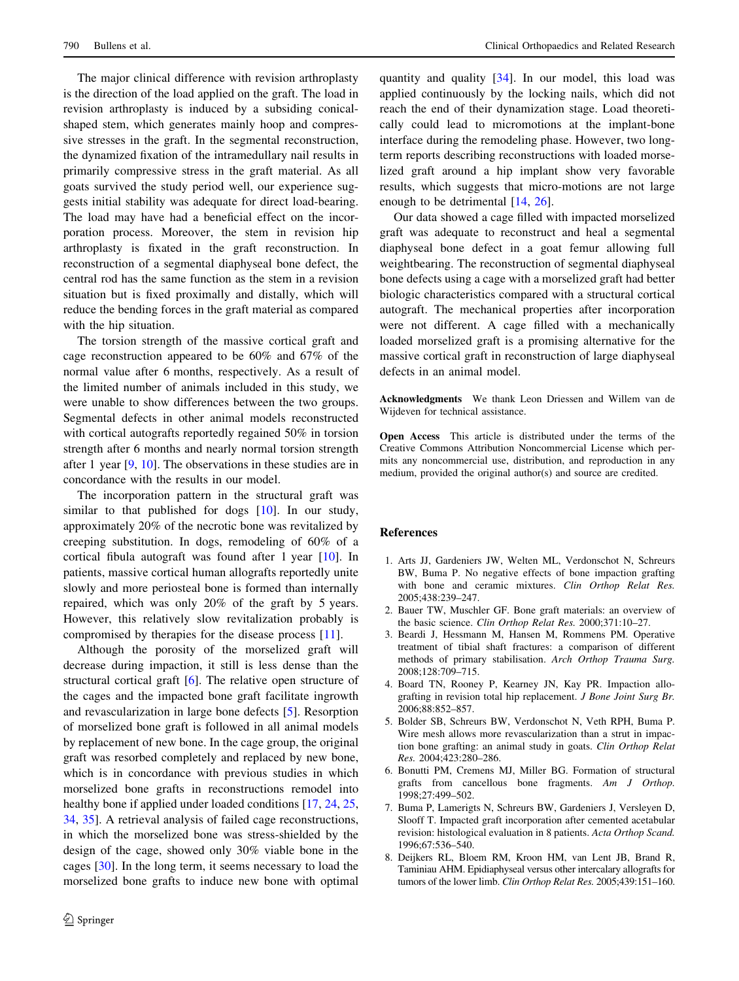<span id="page-7-0"></span>The major clinical difference with revision arthroplasty is the direction of the load applied on the graft. The load in revision arthroplasty is induced by a subsiding conicalshaped stem, which generates mainly hoop and compressive stresses in the graft. In the segmental reconstruction, the dynamized fixation of the intramedullary nail results in primarily compressive stress in the graft material. As all goats survived the study period well, our experience suggests initial stability was adequate for direct load-bearing. The load may have had a beneficial effect on the incorporation process. Moreover, the stem in revision hip arthroplasty is fixated in the graft reconstruction. In reconstruction of a segmental diaphyseal bone defect, the central rod has the same function as the stem in a revision situation but is fixed proximally and distally, which will reduce the bending forces in the graft material as compared with the hip situation.

The torsion strength of the massive cortical graft and cage reconstruction appeared to be 60% and 67% of the normal value after 6 months, respectively. As a result of the limited number of animals included in this study, we were unable to show differences between the two groups. Segmental defects in other animal models reconstructed with cortical autografts reportedly regained 50% in torsion strength after 6 months and nearly normal torsion strength after 1 year [\[9](#page-8-0), [10](#page-8-0)]. The observations in these studies are in concordance with the results in our model.

The incorporation pattern in the structural graft was similar to that published for dogs [[10\]](#page-8-0). In our study, approximately 20% of the necrotic bone was revitalized by creeping substitution. In dogs, remodeling of 60% of a cortical fibula autograft was found after 1 year [\[10](#page-8-0)]. In patients, massive cortical human allografts reportedly unite slowly and more periosteal bone is formed than internally repaired, which was only 20% of the graft by 5 years. However, this relatively slow revitalization probably is compromised by therapies for the disease process [[11\]](#page-8-0).

Although the porosity of the morselized graft will decrease during impaction, it still is less dense than the structural cortical graft [6]. The relative open structure of the cages and the impacted bone graft facilitate ingrowth and revascularization in large bone defects [5]. Resorption of morselized bone graft is followed in all animal models by replacement of new bone. In the cage group, the original graft was resorbed completely and replaced by new bone, which is in concordance with previous studies in which morselized bone grafts in reconstructions remodel into healthy bone if applied under loaded conditions [[17,](#page-8-0) [24,](#page-8-0) [25,](#page-8-0) [34](#page-8-0), [35](#page-8-0)]. A retrieval analysis of failed cage reconstructions, in which the morselized bone was stress-shielded by the design of the cage, showed only 30% viable bone in the cages [\[30](#page-8-0)]. In the long term, it seems necessary to load the morselized bone grafts to induce new bone with optimal quantity and quality [\[34](#page-8-0)]. In our model, this load was applied continuously by the locking nails, which did not reach the end of their dynamization stage. Load theoretically could lead to micromotions at the implant-bone interface during the remodeling phase. However, two longterm reports describing reconstructions with loaded morselized graft around a hip implant show very favorable results, which suggests that micro-motions are not large enough to be detrimental [\[14](#page-8-0), [26\]](#page-8-0).

Our data showed a cage filled with impacted morselized graft was adequate to reconstruct and heal a segmental diaphyseal bone defect in a goat femur allowing full weightbearing. The reconstruction of segmental diaphyseal bone defects using a cage with a morselized graft had better biologic characteristics compared with a structural cortical autograft. The mechanical properties after incorporation were not different. A cage filled with a mechanically loaded morselized graft is a promising alternative for the massive cortical graft in reconstruction of large diaphyseal defects in an animal model.

Acknowledgments We thank Leon Driessen and Willem van de Wijdeven for technical assistance.

Open Access This article is distributed under the terms of the Creative Commons Attribution Noncommercial License which permits any noncommercial use, distribution, and reproduction in any medium, provided the original author(s) and source are credited.

## References

- 1. Arts JJ, Gardeniers JW, Welten ML, Verdonschot N, Schreurs BW, Buma P. No negative effects of bone impaction grafting with bone and ceramic mixtures. Clin Orthop Relat Res. 2005;438:239–247.
- 2. Bauer TW, Muschler GF. Bone graft materials: an overview of the basic science. Clin Orthop Relat Res. 2000;371:10–27.
- 3. Beardi J, Hessmann M, Hansen M, Rommens PM. Operative treatment of tibial shaft fractures: a comparison of different methods of primary stabilisation. Arch Orthop Trauma Surg. 2008;128:709–715.
- 4. Board TN, Rooney P, Kearney JN, Kay PR. Impaction allografting in revision total hip replacement. J Bone Joint Surg Br. 2006;88:852–857.
- 5. Bolder SB, Schreurs BW, Verdonschot N, Veth RPH, Buma P. Wire mesh allows more revascularization than a strut in impaction bone grafting: an animal study in goats. Clin Orthop Relat Res. 2004;423:280–286.
- 6. Bonutti PM, Cremens MJ, Miller BG. Formation of structural grafts from cancellous bone fragments. Am J Orthop. 1998;27:499–502.
- 7. Buma P, Lamerigts N, Schreurs BW, Gardeniers J, Versleyen D, Slooff T. Impacted graft incorporation after cemented acetabular revision: histological evaluation in 8 patients. Acta Orthop Scand. 1996;67:536–540.
- 8. Deijkers RL, Bloem RM, Kroon HM, van Lent JB, Brand R, Taminiau AHM. Epidiaphyseal versus other intercalary allografts for tumors of the lower limb. Clin Orthop Relat Res. 2005;439:151–160.